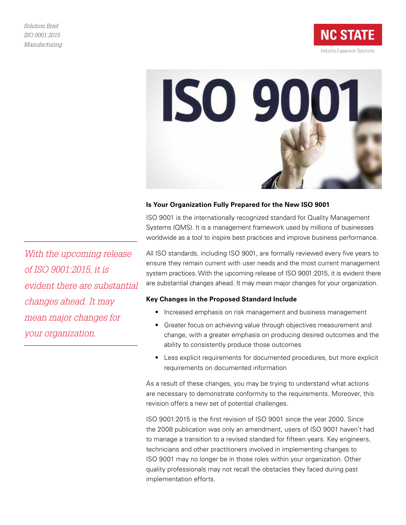



## **Is Your Organization Fully Prepared for the New ISO 9001**

ISO 9001 is the internationally recognized standard for Quality Management Systems (QMS). It is a management framework used by millions of businesses worldwide as a tool to inspire best practices and improve business performance.

All ISO standards, including ISO 9001, are formally reviewed every five years to ensure they remain current with user needs and the most current management system practices. With the upcoming release of ISO 9001:2015, it is evident there are substantial changes ahead. It may mean major changes for your organization.

## **Key Changes in the Proposed Standard Include**

- Increased emphasis on risk management and business management
- Greater focus on achieving value through objectives measurement and change, with a greater emphasis on producing desired outcomes and the ability to consistently produce those outcomes
- Less explicit requirements for documented procedures, but more explicit requirements on documented information

As a result of these changes, you may be trying to understand what actions are necessary to demonstrate conformity to the requirements. Moreover, this revision offers a new set of potential challenges.

ISO 9001:2015 is the first revision of ISO 9001 since the year 2000. Since the 2008 publication was only an amendment, users of ISO 9001 haven't had to manage a transition to a revised standard for fifteen years. Key engineers, technicians and other practitioners involved in implementing changes to ISO 9001 may no longer be in those roles within your organization. Other quality professionals may not recall the obstacles they faced during past implementation efforts.

*With the upcoming release of ISO 9001:2015, it is evident there are substantial changes ahead. It may mean major changes for your organization.*